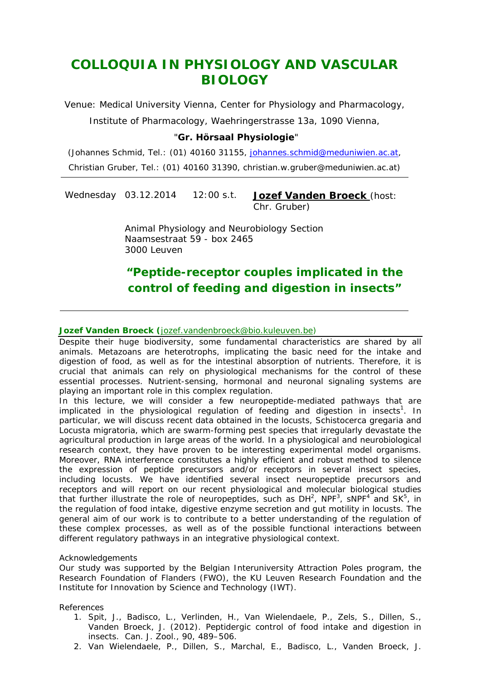# *COLLOQUIA IN PHYSIOLOGY AND VASCULAR BIOLOGY*

Venue: Medical University Vienna, Center for Physiology and Pharmacology, Institute of Pharmacology, Waehringerstrasse 13a, 1090 Vienna,

### "**Gr. Hörsaal Physiologie**"

(Johannes Schmid, Tel.: (01) 40160 31155, *johannes.schmid@meduniwien.ac.at,*  Christian Gruber, Tel.: (01) 40160 31390, christian.w.gruber@meduniwien.ac.at)

Wednesday 03.12.2014 12:00 s.t. **Jozef Vanden Broeck** (host: Chr. Gruber)

> Animal Physiology and Neurobiology Section Naamsestraat 59 - box 2465 3000 Leuven

## *"Peptide-receptor couples implicated in the control of feeding and digestion in insects"*

#### **Jozef Vanden Broeck (**jozef.vandenbroeck@bio.kuleuven.be)

Despite their huge biodiversity, some fundamental characteristics are shared by all animals. Metazoans are heterotrophs, implicating the basic need for the intake and digestion of food, as well as for the intestinal absorption of nutrients. Therefore, it is crucial that animals can rely on physiological mechanisms for the control of these essential processes. Nutrient-sensing, hormonal and neuronal signaling systems are playing an important role in this complex regulation.

In this lecture, we will consider a few neuropeptide-mediated pathways that are implicated in the physiological regulation of feeding and digestion in insects<sup>1</sup>. In particular, we will discuss recent data obtained in the locusts, *Schistocerca gregaria* and *Locusta migratoria*, which are swarm-forming pest species that irregularly devastate the agricultural production in large areas of the world. In a physiological and neurobiological research context, they have proven to be interesting experimental model organisms. Moreover, RNA interference constitutes a highly efficient and robust method to silence the expression of peptide precursors and/or receptors in several insect species, including locusts. We have identified several insect neuropeptide precursors and receptors and will report on our recent physiological and molecular biological studies that further illustrate the role of neuropeptides, such as  $DH^2$ , NPF<sup>3</sup>, SNPF<sup>4</sup> and SK<sup>5</sup>, in the regulation of food intake, digestive enzyme secretion and gut motility in locusts. The general aim of our work is to contribute to a better understanding of the regulation of these complex processes, as well as of the possible functional interactions between different regulatory pathways in an integrative physiological context.

#### *Acknowledgements*

Our study was supported by the Belgian Interuniversity Attraction Poles program, the Research Foundation of Flanders (FWO), the KU Leuven Research Foundation and the Institute for Innovation by Science and Technology (IWT).

#### *References*

- 1. Spit, J., Badisco, L., Verlinden, H., Van Wielendaele, P., Zels, S., Dillen, S., Vanden Broeck, J. (2012). Peptidergic control of food intake and digestion in insects. Can. J. Zool., 90, 489–506.
- 2. Van Wielendaele, P., Dillen, S., Marchal, E., Badisco, L., Vanden Broeck, J.